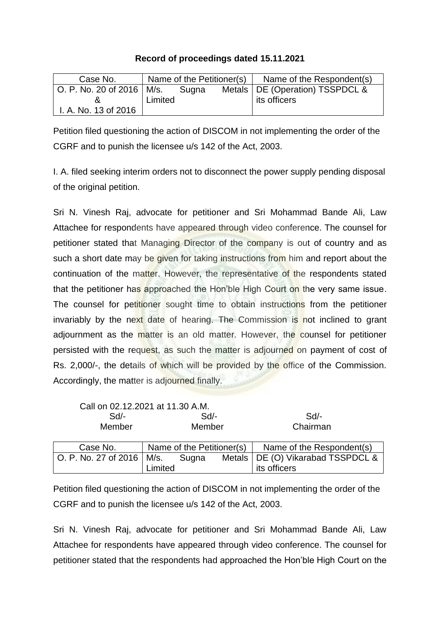## **Record of proceedings dated 15.11.2021**

| Case No.                    |         | Name of the Petitioner(s) | Name of the Respondent(s)         |
|-----------------------------|---------|---------------------------|-----------------------------------|
| O. P. No. 20 of 2016   M/s. |         | Sugna                     | Metals   DE (Operation) TSSPDCL & |
|                             | Limited |                           | its officers                      |
| I. A. No. 13 of 2016        |         |                           |                                   |

Petition filed questioning the action of DISCOM in not implementing the order of the CGRF and to punish the licensee u/s 142 of the Act, 2003.

I. A. filed seeking interim orders not to disconnect the power supply pending disposal of the original petition.

Sri N. Vinesh Raj, advocate for petitioner and Sri Mohammad Bande Ali, Law Attachee for respondents have appeared through video conference. The counsel for petitioner stated that Managing Director of the company is out of country and as such a short date may be given for taking instructions from him and report about the continuation of the matter. However, the representative of the respondents stated that the petitioner has approached the Hon'ble High Court on the very same issue. The counsel for petitioner sought time to obtain instructions from the petitioner invariably by the next date of hearing. The Commission is not inclined to grant adjournment as the matter is an old matter. However, the counsel for petitioner persisted with the request, as such the matter is adjourned on payment of cost of Rs. 2,000/-, the details of which will be provided by the office of the Commission. Accordingly, the matter is adjourned finally.

| Call on 02.12.2021 at 11.30 A.M. |         |                           |                                     |
|----------------------------------|---------|---------------------------|-------------------------------------|
| $Sd$ -                           |         | Sd                        | Sd                                  |
| Member                           |         | Member                    | Chairman                            |
|                                  |         |                           |                                     |
| Case No.                         |         | Name of the Petitioner(s) | Name of the Respondent(s)           |
| O. P. No. 27 of 2016   M/s.      |         | Sugna                     | Metals   DE (O) Vikarabad TSSPDCL & |
|                                  | .imited |                           | its officers                        |

Petition filed questioning the action of DISCOM in not implementing the order of the CGRF and to punish the licensee u/s 142 of the Act, 2003.

Sri N. Vinesh Raj, advocate for petitioner and Sri Mohammad Bande Ali, Law Attachee for respondents have appeared through video conference. The counsel for petitioner stated that the respondents had approached the Hon'ble High Court on the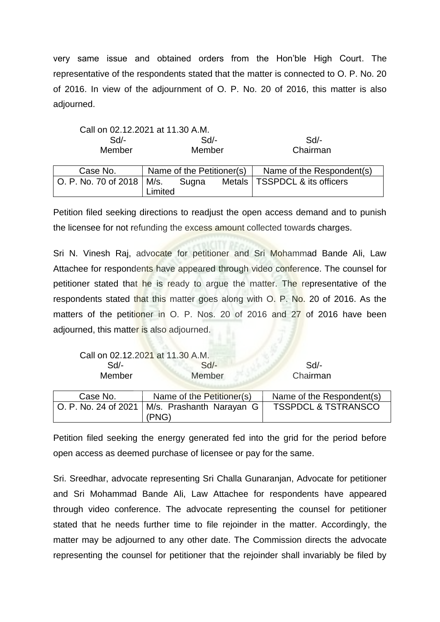very same issue and obtained orders from the Hon'ble High Court. The representative of the respondents stated that the matter is connected to O. P. No. 20 of 2016. In view of the adjournment of O. P. No. 20 of 2016, this matter is also adjourned.

| $\sim$ | . .                                      | . . |        | . . |          |  |
|--------|------------------------------------------|-----|--------|-----|----------|--|
|        | Member                                   |     | Member |     | Chairman |  |
|        | Call on 02.12.2021 at 11.30 A.M.<br>Sd/- |     | Sd/-   |     | Sd       |  |
|        |                                          |     |        |     |          |  |

| Case No.                    |         |       | Name of the Petitioner(s) | Name of the Respondent(s)       |
|-----------------------------|---------|-------|---------------------------|---------------------------------|
| O. P. No. 70 of 2018   M/s. | Limited | Sugna |                           | Metals   TSSPDCL & its officers |

Petition filed seeking directions to readjust the open access demand and to punish the licensee for not refunding the excess amount collected towards charges.

Sri N. Vinesh Raj, advocate for petitioner and Sri Mohammad Bande Ali, Law Attachee for respondents have appeared through video conference. The counsel for petitioner stated that he is ready to argue the matter. The representative of the respondents stated that this matter goes along with O. P. No. 20 of 2016. As the matters of the petitioner in O. P. Nos. 20 of 2016 and 27 of 2016 have been adjourned, this matter is also adjourned.

|                      | Call on 02.12.2021 at 11.30 A.M. |                                |
|----------------------|----------------------------------|--------------------------------|
| Sd                   | $Sd$ -                           | Sd                             |
| Member               | Member                           | Chairman                       |
|                      |                                  |                                |
| Case No.             | Name of the Petitioner(s)        | Name of the Respondent(s)      |
| O. P. No. 24 of 2021 | M/s. Prashanth Narayan G         | <b>TSSPDCL &amp; TSTRANSCO</b> |
|                      | (PNG)                            |                                |

Petition filed seeking the energy generated fed into the grid for the period before open access as deemed purchase of licensee or pay for the same.

Sri. Sreedhar, advocate representing Sri Challa Gunaranjan, Advocate for petitioner and Sri Mohammad Bande Ali, Law Attachee for respondents have appeared through video conference. The advocate representing the counsel for petitioner stated that he needs further time to file rejoinder in the matter. Accordingly, the matter may be adjourned to any other date. The Commission directs the advocate representing the counsel for petitioner that the rejoinder shall invariably be filed by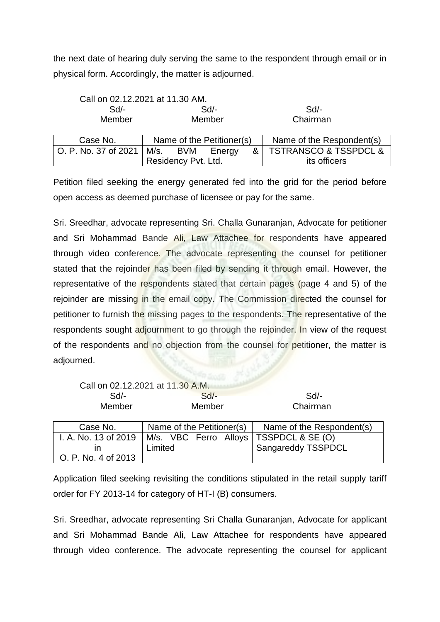the next date of hearing duly serving the same to the respondent through email or in physical form. Accordingly, the matter is adjourned.

|                      | Call on 02.12.2021 at 11.30 AM. |                           |                                      |  |
|----------------------|---------------------------------|---------------------------|--------------------------------------|--|
| $Sd$ -               | $Sd$ -                          |                           |                                      |  |
| Member               | Member                          | Chairman                  |                                      |  |
|                      |                                 |                           |                                      |  |
| Case No.             | Name of the Petitioner(s)       | Name of the Respondent(s) |                                      |  |
| O. P. No. 37 of 2021 | M/s. BVM<br>&<br>Energy         |                           | <b>TSTRANSCO &amp; TSSPDCL &amp;</b> |  |
|                      | Residency Pvt. Ltd.             | its officers              |                                      |  |

Petition filed seeking the energy generated fed into the grid for the period before open access as deemed purchase of licensee or pay for the same.

Sri. Sreedhar, advocate representing Sri. Challa Gunaranjan, Advocate for petitioner and Sri Mohammad Bande Ali, Law Attachee for respondents have appeared through video conference. The advocate representing the counsel for petitioner stated that the rejoinder has been filed by sending it through email. However, the representative of the respondents stated that certain pages (page 4 and 5) of the rejoinder are missing in the email copy. The Commission directed the counsel for petitioner to furnish the missing pages to the respondents. The representative of the respondents sought adjournment to go through the rejoinder. In view of the request of the respondents and no objection from the counsel for petitioner, the matter is adjourned.

|                      | Call on 02.12.2021 at 11.30 A.M.         |                           |
|----------------------|------------------------------------------|---------------------------|
| Sd/-                 | Sd                                       | Sd/-                      |
| Member               | Member                                   | Chairman                  |
|                      |                                          |                           |
| Case No.             | Name of the Petitioner(s)                | Name of the Respondent(s) |
| I. A. No. 13 of 2019 | M/s. VBC Ferro Alloys   TSSPDCL & SE (O) |                           |
| ın                   | Limited                                  | Sangareddy TSSPDCL        |
| O. P. No. 4 of 2013  |                                          |                           |

Application filed seeking revisiting the conditions stipulated in the retail supply tariff order for FY 2013-14 for category of HT-I (B) consumers.

Sri. Sreedhar, advocate representing Sri Challa Gunaranjan, Advocate for applicant and Sri Mohammad Bande Ali, Law Attachee for respondents have appeared through video conference. The advocate representing the counsel for applicant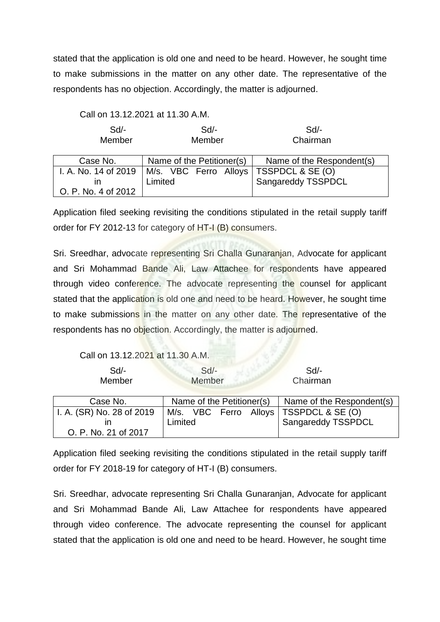stated that the application is old one and need to be heard. However, he sought time to make submissions in the matter on any other date. The representative of the respondents has no objection. Accordingly, the matter is adjourned.

|  |  |  | Call on 13.12.2021 at 11.30 A.M. |
|--|--|--|----------------------------------|
|--|--|--|----------------------------------|

| Sd<br>Member         | $Sd$ -<br>Member                         | $Sd$ -<br>Chairman        |
|----------------------|------------------------------------------|---------------------------|
| Case No.             | Name of the Petitioner(s)                | Name of the Respondent(s) |
| I. A. No. 14 of 2019 | M/s. VBC Ferro Alloys   TSSPDCL & SE (O) |                           |
| ın                   | Limited                                  | Sangareddy TSSPDCL        |
| O. P. No. 4 of 2012  |                                          |                           |

Application filed seeking revisiting the conditions stipulated in the retail supply tariff order for FY 2012-13 for category of HT-I (B) consumers.

Sri. Sreedhar, advocate representing Sri Challa Gunaranjan, Advocate for applicant and Sri Mohammad Bande Ali, Law Attachee for respondents have appeared through video conference. The advocate representing the counsel for applicant stated that the application is old one and need to be heard. However, he sought time to make submissions in the matter on any other date. The representative of the respondents has no objection. Accordingly, the matter is adjourned.

Call on 13.12.2021 at 11.30 A.M.

| Sd/-   |        | Sd/-     |
|--------|--------|----------|
| Member | Member | Chairman |

| Case No.                  |         | Name of the Petitioner(s) | Name of the Respondent(s)                |
|---------------------------|---------|---------------------------|------------------------------------------|
| I. A. (SR) No. 28 of 2019 |         |                           | M/s. VBC Ferro Alloys   TSSPDCL & SE (O) |
|                           | Limited |                           | Sangareddy TSSPDCL                       |
| O. P. No. 21 of 2017      |         |                           |                                          |

Application filed seeking revisiting the conditions stipulated in the retail supply tariff order for FY 2018-19 for category of HT-I (B) consumers.

Sri. Sreedhar, advocate representing Sri Challa Gunaranjan, Advocate for applicant and Sri Mohammad Bande Ali, Law Attachee for respondents have appeared through video conference. The advocate representing the counsel for applicant stated that the application is old one and need to be heard. However, he sought time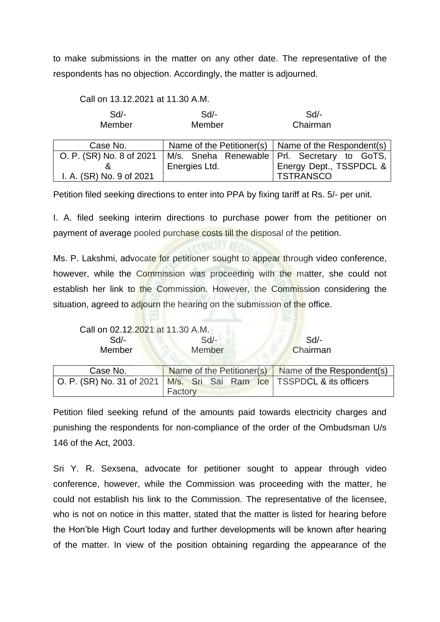to make submissions in the matter on any other date. The representative of the respondents has no objection. Accordingly, the matter is adjourned.

Call on 13.12.2021 at 11.30 A.M.

| Sd/-   | Sd/-   | Sd       |
|--------|--------|----------|
| Member | Member | Chairman |

| Case No.                 |               | Name of the Petitioner(s)   Name of the Respondent(s) |  |
|--------------------------|---------------|-------------------------------------------------------|--|
| O. P. (SR) No. 8 of 2021 |               | M/s. Sneha Renewable   Prl. Secretary to GoTS,        |  |
|                          | Energies Ltd. | Energy Dept., TSSPDCL &                               |  |
| I. A. (SR) No. 9 of 2021 |               | <b>TSTRANSCO</b>                                      |  |

Petition filed seeking directions to enter into PPA by fixing tariff at Rs. 5/- per unit.

I. A. filed seeking interim directions to purchase power from the petitioner on payment of average pooled purchase costs till the disposal of the petition.

Ms. P. Lakshmi, advocate for petitioner sought to appear through video conference, however, while the Commission was proceeding with the matter, she could not establish her link to the Commission. However, the Commission considering the situation, agreed to adjourn the hearing on the submission of the office.

Call on 02.12.2021 at 11.30 A.M.

| Sd/-     | $Sd$ - | Sd/-                                             |
|----------|--------|--------------------------------------------------|
| Member   | Member | Chairman                                         |
| ∩N Ase ∩ |        | Name of the Petitioner(s) Name of the Respondent |

| Case No.                                                                  |         |  |  | Name of the Petitioner(s) Name of the Respondent(s) |
|---------------------------------------------------------------------------|---------|--|--|-----------------------------------------------------|
| O. P. (SR) No. 31 of 2021   M/s. Sri Sai Ram Ice   TSSPDCL & its officers | Factory |  |  |                                                     |

Petition filed seeking refund of the amounts paid towards electricity charges and punishing the respondents for non-compliance of the order of the Ombudsman U/s 146 of the Act, 2003.

Sri Y. R. Sexsena, advocate for petitioner sought to appear through video conference, however, while the Commission was proceeding with the matter, he could not establish his link to the Commission. The representative of the licensee, who is not on notice in this matter, stated that the matter is listed for hearing before the Hon'ble High Court today and further developments will be known after hearing of the matter. In view of the position obtaining regarding the appearance of the